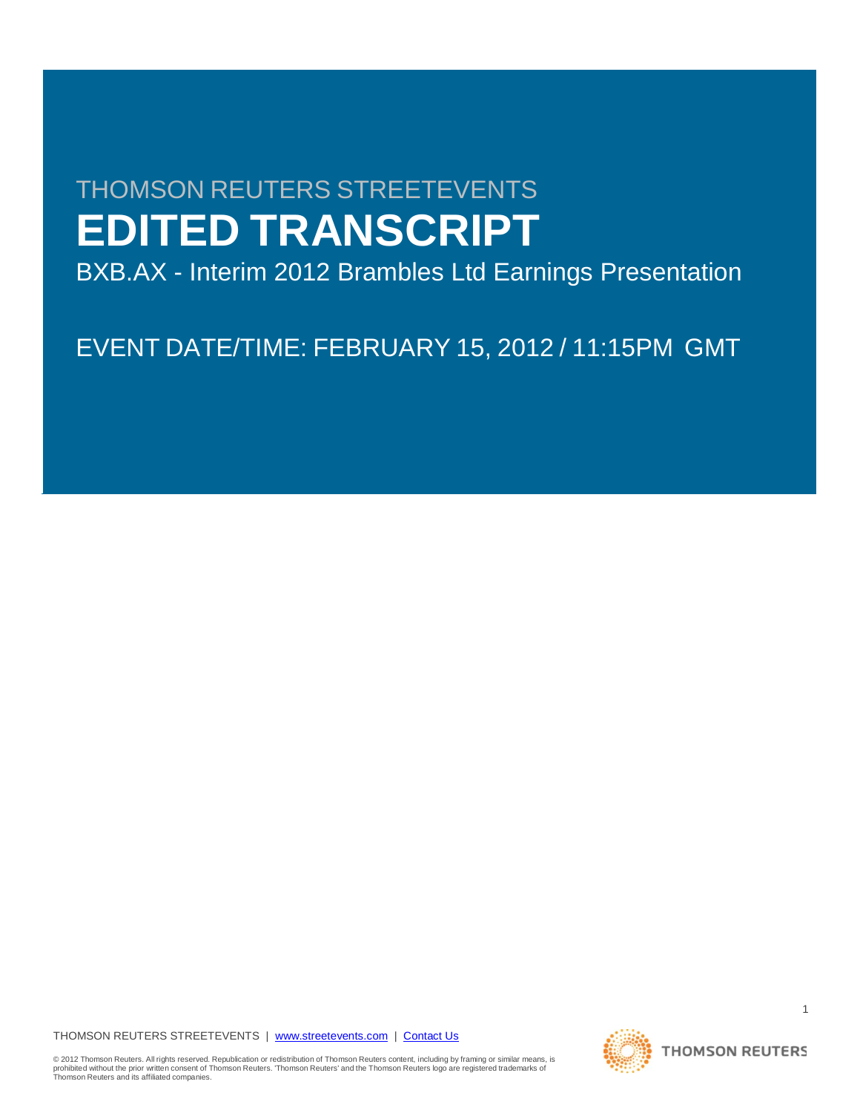# THOMSON REUTERS STREETEVENTS **EDITED TRANSCRIPT**

BXB.AX - Interim 2012 Brambles Ltd Earnings Presentation

EVENT DATE/TIME: FEBRUARY 15, 2012 / 11:15PM GMT

THOMSON REUTERS STREETEVENTS | [www.streetevents.com](http://www.streetevents.com/) | [Contact Us](http://www010.streetevents.com/contact.asp)

© 2012 Thomson Reuters. All rights reserved. Republication or redistribution of Thomson Reuters content, including by framing or similar means, is<br>prohibited without the prior written consent of Thomson Reuters. 'Thomson

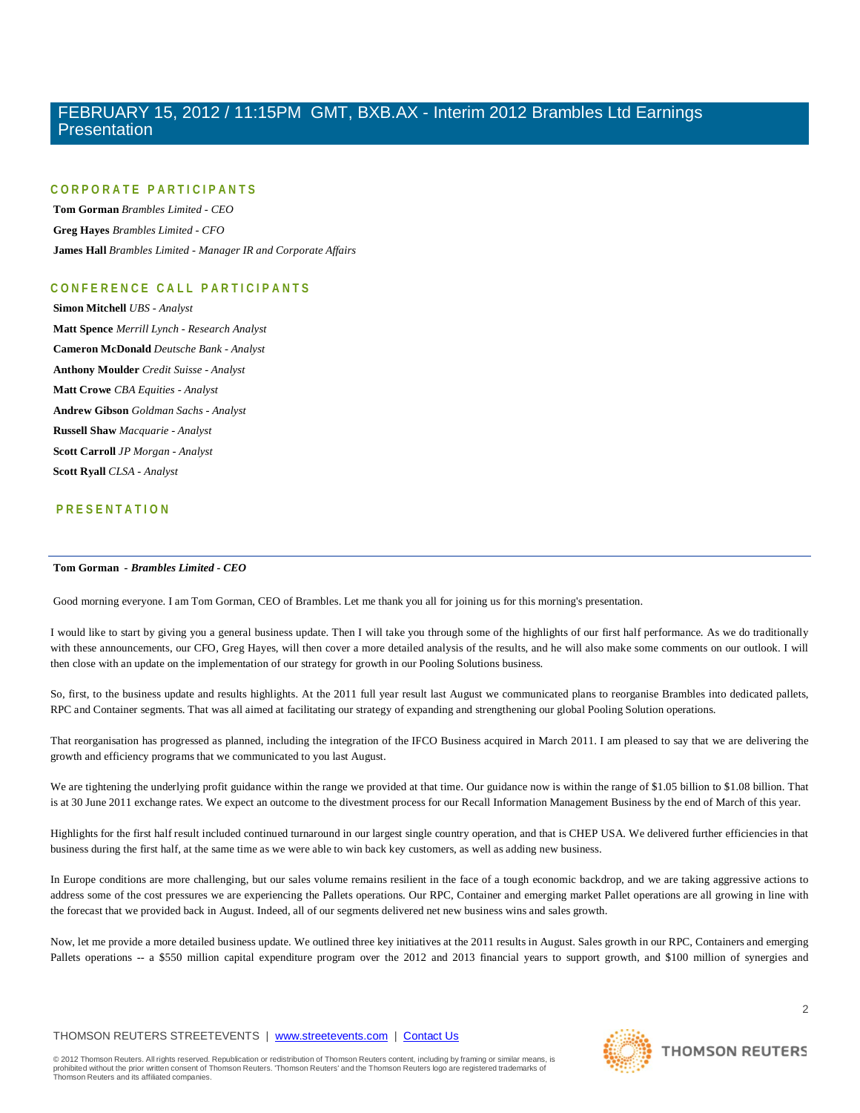### **CORPORATE PARTICIPANTS**

**Tom Gorman** *Brambles Limited - CEO* **Greg Hayes** *Brambles Limited - CFO* **James Hall** *Brambles Limited - Manager IR and Corporate Affairs*

### **CONFERENCE CALL PART ICIPANTS**

**Simon Mitchell** *UBS - Analyst* **Matt Spence** *Merrill Lynch - Research Analyst* **Cameron McDonald** *Deutsche Bank - Analyst* **Anthony Moulder** *Credit Suisse - Analyst* **Matt Crowe** *CBA Equities - Analyst* **Andrew Gibson** *Goldman Sachs - Analyst* **Russell Shaw** *Macquarie - Analyst* **Scott Carroll** *JP Morgan - Analyst* **Scott Ryall** *CLSA - Analyst*

### **PRESENTATION**

### **Tom Gorman** *- Brambles Limited - CEO*

Good morning everyone. I am Tom Gorman, CEO of Brambles. Let me thank you all for joining us for this morning's presentation.

I would like to start by giving you a general business update. Then I will take you through some of the highlights of our first half performance. As we do traditionally with these announcements, our CFO, Greg Hayes, will then cover a more detailed analysis of the results, and he will also make some comments on our outlook. I will then close with an update on the implementation of our strategy for growth in our Pooling Solutions business.

So, first, to the business update and results highlights. At the 2011 full year result last August we communicated plans to reorganise Brambles into dedicated pallets, RPC and Container segments. That was all aimed at facilitating our strategy of expanding and strengthening our global Pooling Solution operations.

That reorganisation has progressed as planned, including the integration of the IFCO Business acquired in March 2011. I am pleased to say that we are delivering the growth and efficiency programs that we communicated to you last August.

We are tightening the underlying profit guidance within the range we provided at that time. Our guidance now is within the range of \$1.05 billion to \$1.08 billion. That is at 30 June 2011 exchange rates. We expect an outcome to the divestment process for our Recall Information Management Business by the end of March of this year.

Highlights for the first half result included continued turnaround in our largest single country operation, and that is CHEP USA. We delivered further efficiencies in that business during the first half, at the same time as we were able to win back key customers, as well as adding new business.

In Europe conditions are more challenging, but our sales volume remains resilient in the face of a tough economic backdrop, and we are taking aggressive actions to address some of the cost pressures we are experiencing the Pallets operations. Our RPC, Container and emerging market Pallet operations are all growing in line with the forecast that we provided back in August. Indeed, all of our segments delivered net new business wins and sales growth.

Now, let me provide a more detailed business update. We outlined three key initiatives at the 2011 results in August. Sales growth in our RPC, Containers and emerging Pallets operations -- a \$550 million capital expenditure program over the 2012 and 2013 financial years to support growth, and \$100 million of synergies and

### THOMSON REUTERS STREETEVENTS | [www.streetevents.com](http://www.streetevents.com/) | [Contact Us](http://www010.streetevents.com/contact.asp)

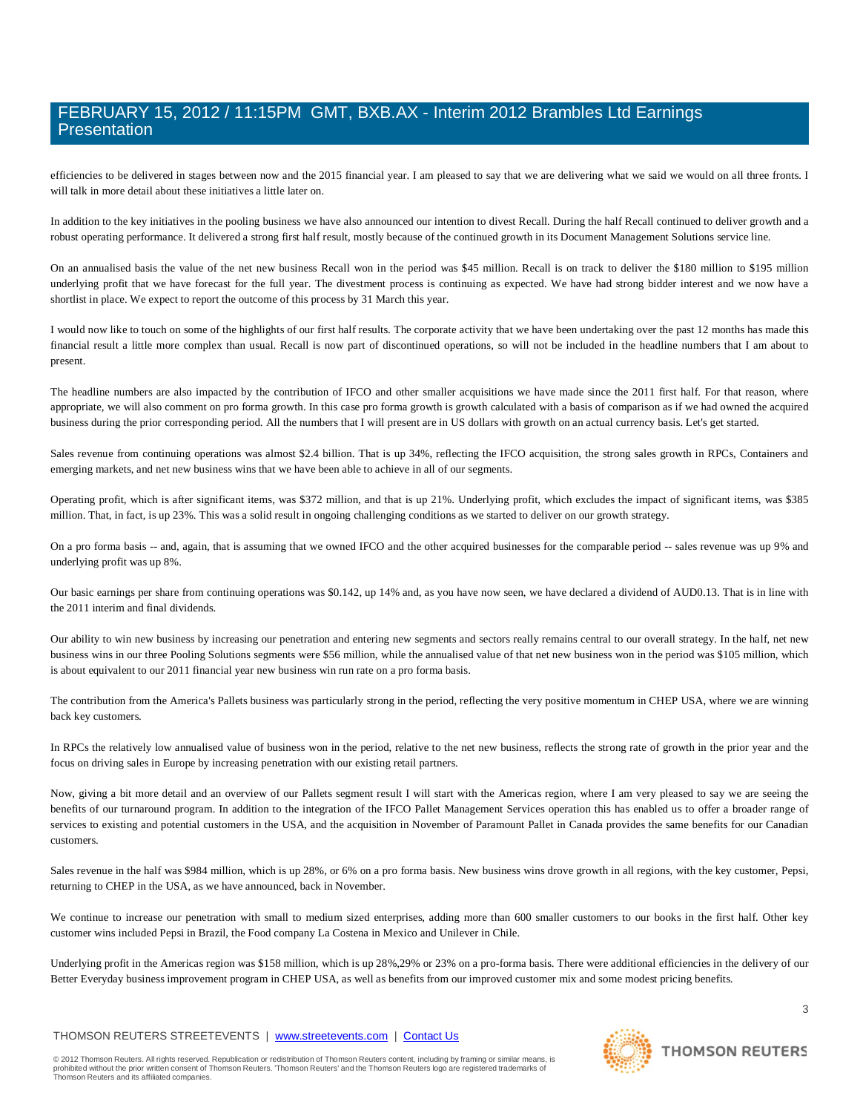efficiencies to be delivered in stages between now and the 2015 financial year. I am pleased to say that we are delivering what we said we would on all three fronts. I will talk in more detail about these initiatives a little later on.

In addition to the key initiatives in the pooling business we have also announced our intention to divest Recall. During the half Recall continued to deliver growth and a robust operating performance. It delivered a strong first half result, mostly because of the continued growth in its Document Management Solutions service line.

On an annualised basis the value of the net new business Recall won in the period was \$45 million. Recall is on track to deliver the \$180 million to \$195 million underlying profit that we have forecast for the full year. The divestment process is continuing as expected. We have had strong bidder interest and we now have a shortlist in place. We expect to report the outcome of this process by 31 March this year.

I would now like to touch on some of the highlights of our first half results. The corporate activity that we have been undertaking over the past 12 months has made this financial result a little more complex than usual. Recall is now part of discontinued operations, so will not be included in the headline numbers that I am about to present.

The headline numbers are also impacted by the contribution of IFCO and other smaller acquisitions we have made since the 2011 first half. For that reason, where appropriate, we will also comment on pro forma growth. In this case pro forma growth is growth calculated with a basis of comparison as if we had owned the acquired business during the prior corresponding period. All the numbers that I will present are in US dollars with growth on an actual currency basis. Let's get started.

Sales revenue from continuing operations was almost \$2.4 billion. That is up 34%, reflecting the IFCO acquisition, the strong sales growth in RPCs, Containers and emerging markets, and net new business wins that we have been able to achieve in all of our segments.

Operating profit, which is after significant items, was \$372 million, and that is up 21%. Underlying profit, which excludes the impact of significant items, was \$385 million. That, in fact, is up 23%. This was a solid result in ongoing challenging conditions as we started to deliver on our growth strategy.

On a pro forma basis -- and, again, that is assuming that we owned IFCO and the other acquired businesses for the comparable period -- sales revenue was up 9% and underlying profit was up 8%.

Our basic earnings per share from continuing operations was \$0.142, up 14% and, as you have now seen, we have declared a dividend of AUD0.13. That is in line with the 2011 interim and final dividends.

Our ability to win new business by increasing our penetration and entering new segments and sectors really remains central to our overall strategy. In the half, net new business wins in our three Pooling Solutions segments were \$56 million, while the annualised value of that net new business won in the period was \$105 million, which is about equivalent to our 2011 financial year new business win run rate on a pro forma basis.

The contribution from the America's Pallets business was particularly strong in the period, reflecting the very positive momentum in CHEP USA, where we are winning back key customers.

In RPCs the relatively low annualised value of business won in the period, relative to the net new business, reflects the strong rate of growth in the prior year and the focus on driving sales in Europe by increasing penetration with our existing retail partners.

Now, giving a bit more detail and an overview of our Pallets segment result I will start with the Americas region, where I am very pleased to say we are seeing the benefits of our turnaround program. In addition to the integration of the IFCO Pallet Management Services operation this has enabled us to offer a broader range of services to existing and potential customers in the USA, and the acquisition in November of Paramount Pallet in Canada provides the same benefits for our Canadian customers.

Sales revenue in the half was \$984 million, which is up 28%, or 6% on a pro forma basis. New business wins drove growth in all regions, with the key customer, Pepsi, returning to CHEP in the USA, as we have announced, back in November.

We continue to increase our penetration with small to medium sized enterprises, adding more than 600 smaller customers to our books in the first half. Other key customer wins included Pepsi in Brazil, the Food company La Costena in Mexico and Unilever in Chile.

Underlying profit in the Americas region was \$158 million, which is up 28%,29% or 23% on a pro-forma basis. There were additional efficiencies in the delivery of our Better Everyday business improvement program in CHEP USA, as well as benefits from our improved customer mix and some modest pricing benefits.

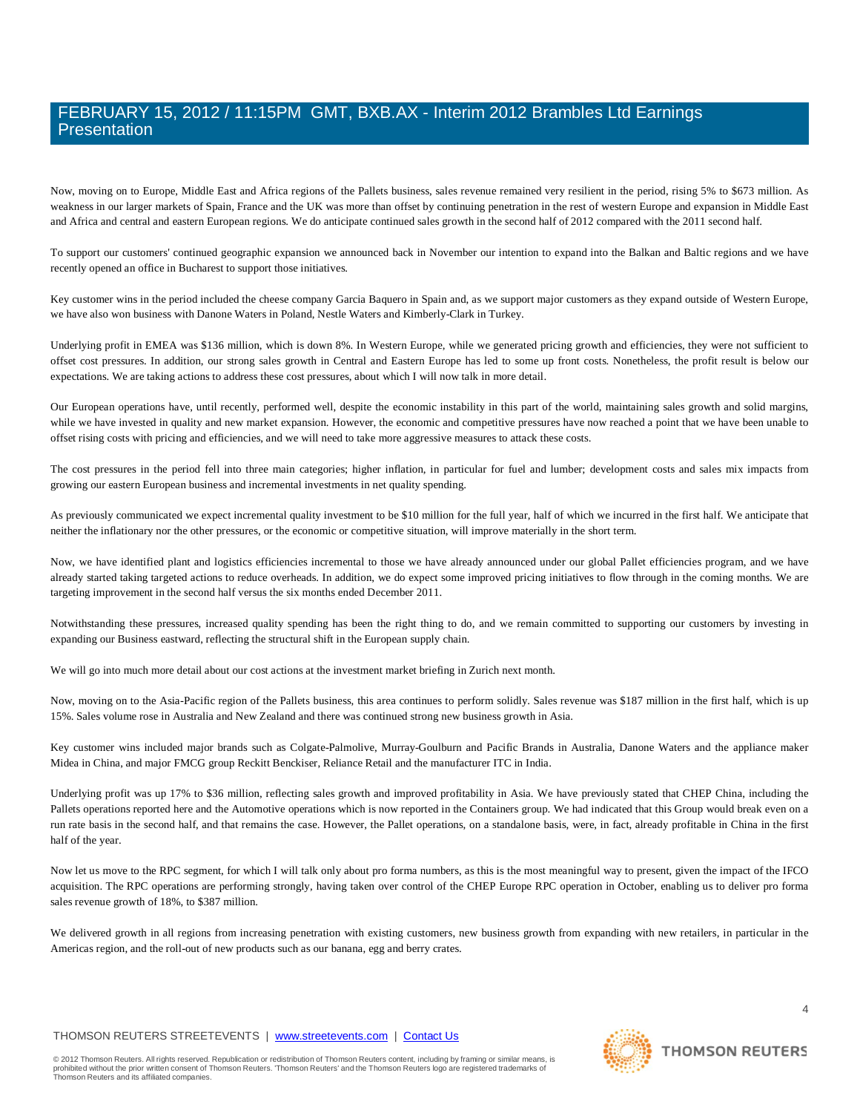Now, moving on to Europe, Middle East and Africa regions of the Pallets business, sales revenue remained very resilient in the period, rising 5% to \$673 million. As weakness in our larger markets of Spain, France and the UK was more than offset by continuing penetration in the rest of western Europe and expansion in Middle East and Africa and central and eastern European regions. We do anticipate continued sales growth in the second half of 2012 compared with the 2011 second half.

To support our customers' continued geographic expansion we announced back in November our intention to expand into the Balkan and Baltic regions and we have recently opened an office in Bucharest to support those initiatives.

Key customer wins in the period included the cheese company Garcia Baquero in Spain and, as we support major customers as they expand outside of Western Europe, we have also won business with Danone Waters in Poland, Nestle Waters and Kimberly-Clark in Turkey.

Underlying profit in EMEA was \$136 million, which is down 8%. In Western Europe, while we generated pricing growth and efficiencies, they were not sufficient to offset cost pressures. In addition, our strong sales growth in Central and Eastern Europe has led to some up front costs. Nonetheless, the profit result is below our expectations. We are taking actions to address these cost pressures, about which I will now talk in more detail.

Our European operations have, until recently, performed well, despite the economic instability in this part of the world, maintaining sales growth and solid margins, while we have invested in quality and new market expansion. However, the economic and competitive pressures have now reached a point that we have been unable to offset rising costs with pricing and efficiencies, and we will need to take more aggressive measures to attack these costs.

The cost pressures in the period fell into three main categories; higher inflation, in particular for fuel and lumber; development costs and sales mix impacts from growing our eastern European business and incremental investments in net quality spending.

As previously communicated we expect incremental quality investment to be \$10 million for the full year, half of which we incurred in the first half. We anticipate that neither the inflationary nor the other pressures, or the economic or competitive situation, will improve materially in the short term.

Now, we have identified plant and logistics efficiencies incremental to those we have already announced under our global Pallet efficiencies program, and we have already started taking targeted actions to reduce overheads. In addition, we do expect some improved pricing initiatives to flow through in the coming months. We are targeting improvement in the second half versus the six months ended December 2011.

Notwithstanding these pressures, increased quality spending has been the right thing to do, and we remain committed to supporting our customers by investing in expanding our Business eastward, reflecting the structural shift in the European supply chain.

We will go into much more detail about our cost actions at the investment market briefing in Zurich next month.

Now, moving on to the Asia-Pacific region of the Pallets business, this area continues to perform solidly. Sales revenue was \$187 million in the first half, which is up 15%. Sales volume rose in Australia and New Zealand and there was continued strong new business growth in Asia.

Key customer wins included major brands such as Colgate-Palmolive, Murray-Goulburn and Pacific Brands in Australia, Danone Waters and the appliance maker Midea in China, and major FMCG group Reckitt Benckiser, Reliance Retail and the manufacturer ITC in India.

Underlying profit was up 17% to \$36 million, reflecting sales growth and improved profitability in Asia. We have previously stated that CHEP China, including the Pallets operations reported here and the Automotive operations which is now reported in the Containers group. We had indicated that this Group would break even on a run rate basis in the second half, and that remains the case. However, the Pallet operations, on a standalone basis, were, in fact, already profitable in China in the first half of the year.

Now let us move to the RPC segment, for which I will talk only about pro forma numbers, as this is the most meaningful way to present, given the impact of the IFCO acquisition. The RPC operations are performing strongly, having taken over control of the CHEP Europe RPC operation in October, enabling us to deliver pro forma sales revenue growth of 18%, to \$387 million.

We delivered growth in all regions from increasing penetration with existing customers, new business growth from expanding with new retailers, in particular in the Americas region, and the roll-out of new products such as our banana, egg and berry crates.

#### THOMSON REUTERS STREETEVENTS | [www.streetevents.com](http://www.streetevents.com/) | [Contact Us](http://www010.streetevents.com/contact.asp)

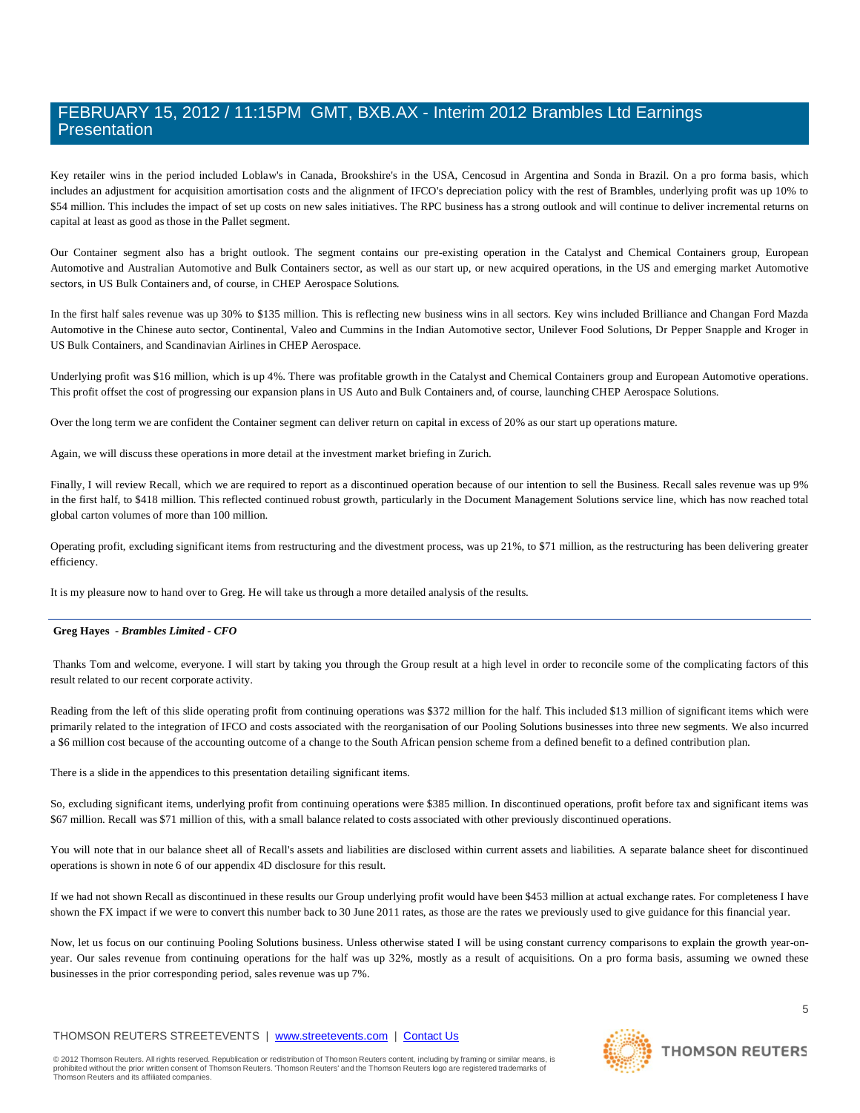Key retailer wins in the period included Loblaw's in Canada, Brookshire's in the USA, Cencosud in Argentina and Sonda in Brazil. On a pro forma basis, which includes an adjustment for acquisition amortisation costs and the alignment of IFCO's depreciation policy with the rest of Brambles, underlying profit was up 10% to \$54 million. This includes the impact of set up costs on new sales initiatives. The RPC business has a strong outlook and will continue to deliver incremental returns on capital at least as good as those in the Pallet segment.

Our Container segment also has a bright outlook. The segment contains our pre-existing operation in the Catalyst and Chemical Containers group, European Automotive and Australian Automotive and Bulk Containers sector, as well as our start up, or new acquired operations, in the US and emerging market Automotive sectors, in US Bulk Containers and, of course, in CHEP Aerospace Solutions.

In the first half sales revenue was up 30% to \$135 million. This is reflecting new business wins in all sectors. Key wins included Brilliance and Changan Ford Mazda Automotive in the Chinese auto sector, Continental, Valeo and Cummins in the Indian Automotive sector, Unilever Food Solutions, Dr Pepper Snapple and Kroger in US Bulk Containers, and Scandinavian Airlines in CHEP Aerospace.

Underlying profit was \$16 million, which is up 4%. There was profitable growth in the Catalyst and Chemical Containers group and European Automotive operations. This profit offset the cost of progressing our expansion plans in US Auto and Bulk Containers and, of course, launching CHEP Aerospace Solutions.

Over the long term we are confident the Container segment can deliver return on capital in excess of 20% as our start up operations mature.

Again, we will discuss these operations in more detail at the investment market briefing in Zurich.

Finally, I will review Recall, which we are required to report as a discontinued operation because of our intention to sell the Business. Recall sales revenue was up 9% in the first half, to \$418 million. This reflected continued robust growth, particularly in the Document Management Solutions service line, which has now reached total global carton volumes of more than 100 million.

Operating profit, excluding significant items from restructuring and the divestment process, was up 21%, to \$71 million, as the restructuring has been delivering greater efficiency.

It is my pleasure now to hand over to Greg. He will take us through a more detailed analysis of the results.

#### **Greg Hayes** *- Brambles Limited - CFO*

Thanks Tom and welcome, everyone. I will start by taking you through the Group result at a high level in order to reconcile some of the complicating factors of this result related to our recent corporate activity.

Reading from the left of this slide operating profit from continuing operations was \$372 million for the half. This included \$13 million of significant items which were primarily related to the integration of IFCO and costs associated with the reorganisation of our Pooling Solutions businesses into three new segments. We also incurred a \$6 million cost because of the accounting outcome of a change to the South African pension scheme from a defined benefit to a defined contribution plan.

There is a slide in the appendices to this presentation detailing significant items.

So, excluding significant items, underlying profit from continuing operations were \$385 million. In discontinued operations, profit before tax and significant items was \$67 million. Recall was \$71 million of this, with a small balance related to costs associated with other previously discontinued operations.

You will note that in our balance sheet all of Recall's assets and liabilities are disclosed within current assets and liabilities. A separate balance sheet for discontinued operations is shown in note 6 of our appendix 4D disclosure for this result.

If we had not shown Recall as discontinued in these results our Group underlying profit would have been \$453 million at actual exchange rates. For completeness I have shown the FX impact if we were to convert this number back to 30 June 2011 rates, as those are the rates we previously used to give guidance for this financial year.

Now, let us focus on our continuing Pooling Solutions business. Unless otherwise stated I will be using constant currency comparisons to explain the growth year-onyear. Our sales revenue from continuing operations for the half was up 32%, mostly as a result of acquisitions. On a pro forma basis, assuming we owned these businesses in the prior corresponding period, sales revenue was up 7%.

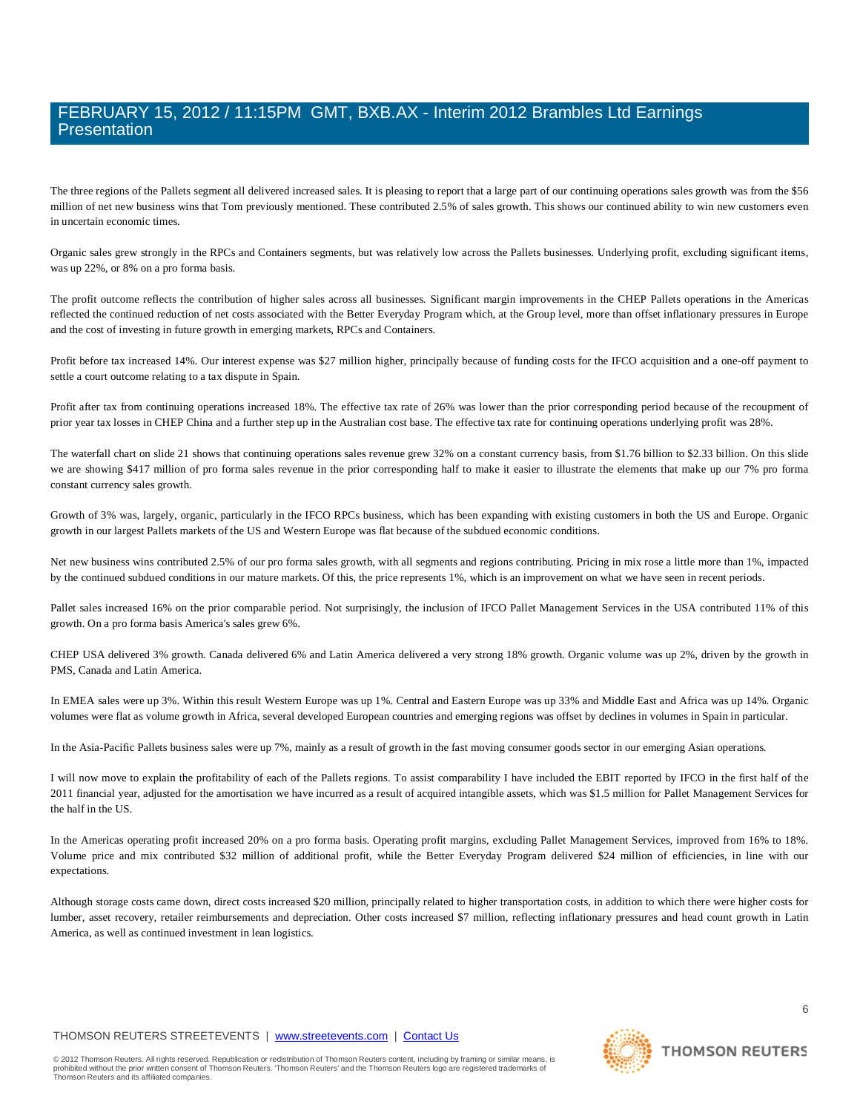The three regions of the Pallets segment all delivered increased sales. It is pleasing to report that a large part of our continuing operations sales growth was from the \$56 million of net new business wins that Tom previously mentioned. These contributed 2.5% of sales growth. This shows our continued ability to win new customers even in uncertain economic times.

Organic sales grew strongly in the RPCs and Containers segments, but was relatively low across the Pallets businesses. Underlying profit, excluding significant items, was up 22%, or 8% on a pro forma basis.

The profit outcome reflects the contribution of higher sales across all businesses. Significant margin improvements in the CHEP Pallets operations in the Americas reflected the continued reduction of net costs associated with the Better Everyday Program which, at the Group level, more than offset inflationary pressures in Europe and the cost of investing in future growth in emerging markets, RPCs and Containers.

Profit before tax increased 14%. Our interest expense was \$27 million higher, principally because of funding costs for the IFCO acquisition and a one-off payment to settle a court outcome relating to a tax dispute in Spain.

Profit after tax from continuing operations increased 18%. The effective tax rate of 26% was lower than the prior corresponding period because of the recoupment of prior year tax losses in CHEP China and a further step up in the Australian cost base. The effective tax rate for continuing operations underlying profit was 28%.

The waterfall chart on slide 21 shows that continuing operations sales revenue grew 32% on a constant currency basis, from \$1.76 billion to \$2.33 billion. On this slide we are showing \$417 million of pro forma sales revenue in the prior corresponding half to make it easier to illustrate the elements that make up our 7% pro forma constant currency sales growth.

Growth of 3% was, largely, organic, particularly in the IFCO RPCs business, which has been expanding with existing customers in both the US and Europe. Organic growth in our largest Pallets markets of the US and Western Europe was flat because of the subdued economic conditions.

Net new business wins contributed 2.5% of our pro forma sales growth, with all segments and regions contributing. Pricing in mix rose a little more than 1%, impacted by the continued subdued conditions in our mature markets. Of this, the price represents 1%, which is an improvement on what we have seen in recent periods.

Pallet sales increased 16% on the prior comparable period. Not surprisingly, the inclusion of IFCO Pallet Management Services in the USA contributed 11% of this growth. On a pro forma basis America's sales grew 6%.

CHEP USA delivered 3% growth. Canada delivered 6% and Latin America delivered a very strong 18% growth. Organic volume was up 2%, driven by the growth in PMS, Canada and Latin America.

In EMEA sales were up 3%. Within this result Western Europe was up 1%. Central and Eastern Europe was up 33% and Middle East and Africa was up 14%. Organic volumes were flat as volume growth in Africa, several developed European countries and emerging regions was offset by declines in volumes in Spain in particular.

In the Asia-Pacific Pallets business sales were up 7%, mainly as a result of growth in the fast moving consumer goods sector in our emerging Asian operations.

I will now move to explain the profitability of each of the Pallets regions. To assist comparability I have included the EBIT reported by IFCO in the first half of the 2011 financial year, adjusted for the amortisation we have incurred as a result of acquired intangible assets, which was \$1.5 million for Pallet Management Services for the half in the US.

In the Americas operating profit increased 20% on a pro forma basis. Operating profit margins, excluding Pallet Management Services, improved from 16% to 18%. Volume price and mix contributed \$32 million of additional profit, while the Better Everyday Program delivered \$24 million of efficiencies, in line with our expectations.

Although storage costs came down, direct costs increased \$20 million, principally related to higher transportation costs, in addition to which there were higher costs for lumber, asset recovery, retailer reimbursements and depreciation. Other costs increased \$7 million, reflecting inflationary pressures and head count growth in Latin America, as well as continued investment in lean logistics.

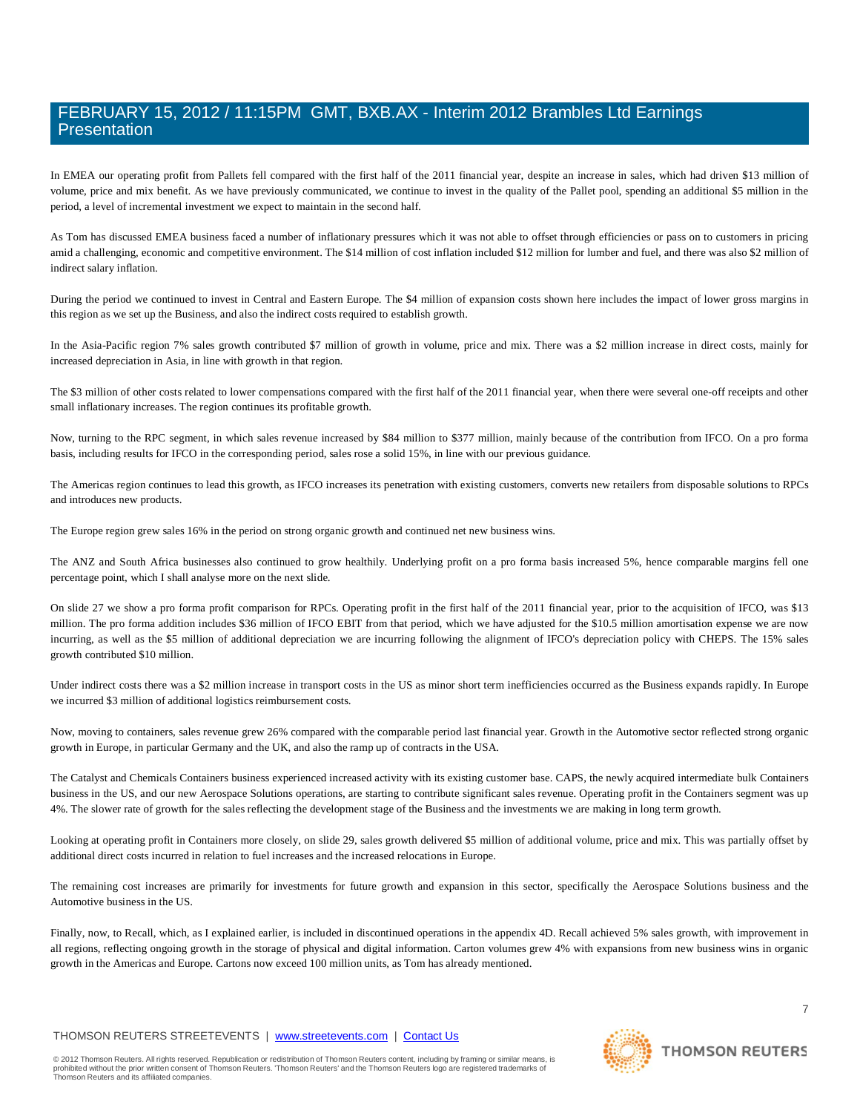In EMEA our operating profit from Pallets fell compared with the first half of the 2011 financial year, despite an increase in sales, which had driven \$13 million of volume, price and mix benefit. As we have previously communicated, we continue to invest in the quality of the Pallet pool, spending an additional \$5 million in the period, a level of incremental investment we expect to maintain in the second half.

As Tom has discussed EMEA business faced a number of inflationary pressures which it was not able to offset through efficiencies or pass on to customers in pricing amid a challenging, economic and competitive environment. The \$14 million of cost inflation included \$12 million for lumber and fuel, and there was also \$2 million of indirect salary inflation.

During the period we continued to invest in Central and Eastern Europe. The \$4 million of expansion costs shown here includes the impact of lower gross margins in this region as we set up the Business, and also the indirect costs required to establish growth.

In the Asia-Pacific region 7% sales growth contributed \$7 million of growth in volume, price and mix. There was a \$2 million increase in direct costs, mainly for increased depreciation in Asia, in line with growth in that region.

The \$3 million of other costs related to lower compensations compared with the first half of the 2011 financial year, when there were several one-off receipts and other small inflationary increases. The region continues its profitable growth.

Now, turning to the RPC segment, in which sales revenue increased by \$84 million to \$377 million, mainly because of the contribution from IFCO. On a pro forma basis, including results for IFCO in the corresponding period, sales rose a solid 15%, in line with our previous guidance.

The Americas region continues to lead this growth, as IFCO increases its penetration with existing customers, converts new retailers from disposable solutions to RPCs and introduces new products.

The Europe region grew sales 16% in the period on strong organic growth and continued net new business wins.

The ANZ and South Africa businesses also continued to grow healthily. Underlying profit on a pro forma basis increased 5%, hence comparable margins fell one percentage point, which I shall analyse more on the next slide.

On slide 27 we show a pro forma profit comparison for RPCs. Operating profit in the first half of the 2011 financial year, prior to the acquisition of IFCO, was \$13 million. The pro forma addition includes \$36 million of IFCO EBIT from that period, which we have adjusted for the \$10.5 million amortisation expense we are now incurring, as well as the \$5 million of additional depreciation we are incurring following the alignment of IFCO's depreciation policy with CHEPS. The 15% sales growth contributed \$10 million.

Under indirect costs there was a \$2 million increase in transport costs in the US as minor short term inefficiencies occurred as the Business expands rapidly. In Europe we incurred \$3 million of additional logistics reimbursement costs.

Now, moving to containers, sales revenue grew 26% compared with the comparable period last financial year. Growth in the Automotive sector reflected strong organic growth in Europe, in particular Germany and the UK, and also the ramp up of contracts in the USA.

The Catalyst and Chemicals Containers business experienced increased activity with its existing customer base. CAPS, the newly acquired intermediate bulk Containers business in the US, and our new Aerospace Solutions operations, are starting to contribute significant sales revenue. Operating profit in the Containers segment was up 4%. The slower rate of growth for the sales reflecting the development stage of the Business and the investments we are making in long term growth.

Looking at operating profit in Containers more closely, on slide 29, sales growth delivered \$5 million of additional volume, price and mix. This was partially offset by additional direct costs incurred in relation to fuel increases and the increased relocations in Europe.

The remaining cost increases are primarily for investments for future growth and expansion in this sector, specifically the Aerospace Solutions business and the Automotive business in the US.

Finally, now, to Recall, which, as I explained earlier, is included in discontinued operations in the appendix 4D. Recall achieved 5% sales growth, with improvement in all regions, reflecting ongoing growth in the storage of physical and digital information. Carton volumes grew 4% with expansions from new business wins in organic growth in the Americas and Europe. Cartons now exceed 100 million units, as Tom has already mentioned.

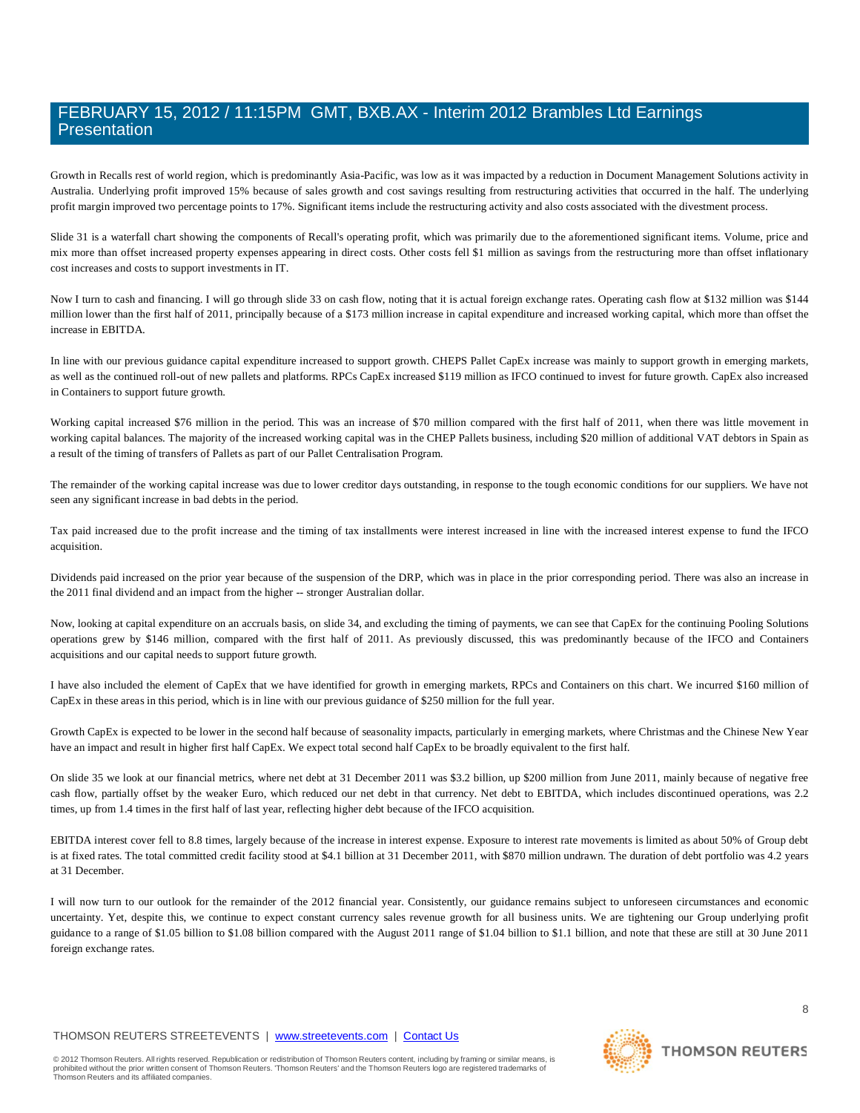Growth in Recalls rest of world region, which is predominantly Asia-Pacific, was low as it was impacted by a reduction in Document Management Solutions activity in Australia. Underlying profit improved 15% because of sales growth and cost savings resulting from restructuring activities that occurred in the half. The underlying profit margin improved two percentage points to 17%. Significant items include the restructuring activity and also costs associated with the divestment process.

Slide 31 is a waterfall chart showing the components of Recall's operating profit, which was primarily due to the aforementioned significant items. Volume, price and mix more than offset increased property expenses appearing in direct costs. Other costs fell \$1 million as savings from the restructuring more than offset inflationary cost increases and costs to support investments in IT.

Now I turn to cash and financing. I will go through slide 33 on cash flow, noting that it is actual foreign exchange rates. Operating cash flow at \$132 million was \$144 million lower than the first half of 2011, principally because of a \$173 million increase in capital expenditure and increased working capital, which more than offset the increase in EBITDA.

In line with our previous guidance capital expenditure increased to support growth. CHEPS Pallet CapEx increase was mainly to support growth in emerging markets, as well as the continued roll-out of new pallets and platforms. RPCs CapEx increased \$119 million as IFCO continued to invest for future growth. CapEx also increased in Containers to support future growth.

Working capital increased \$76 million in the period. This was an increase of \$70 million compared with the first half of 2011, when there was little movement in working capital balances. The majority of the increased working capital was in the CHEP Pallets business, including \$20 million of additional VAT debtors in Spain as a result of the timing of transfers of Pallets as part of our Pallet Centralisation Program.

The remainder of the working capital increase was due to lower creditor days outstanding, in response to the tough economic conditions for our suppliers. We have not seen any significant increase in bad debts in the period.

Tax paid increased due to the profit increase and the timing of tax installments were interest increased in line with the increased interest expense to fund the IFCO acquisition.

Dividends paid increased on the prior year because of the suspension of the DRP, which was in place in the prior corresponding period. There was also an increase in the 2011 final dividend and an impact from the higher -- stronger Australian dollar.

Now, looking at capital expenditure on an accruals basis, on slide 34, and excluding the timing of payments, we can see that CapEx for the continuing Pooling Solutions operations grew by \$146 million, compared with the first half of 2011. As previously discussed, this was predominantly because of the IFCO and Containers acquisitions and our capital needs to support future growth.

I have also included the element of CapEx that we have identified for growth in emerging markets, RPCs and Containers on this chart. We incurred \$160 million of CapEx in these areas in this period, which is in line with our previous guidance of \$250 million for the full year.

Growth CapEx is expected to be lower in the second half because of seasonality impacts, particularly in emerging markets, where Christmas and the Chinese New Year have an impact and result in higher first half CapEx. We expect total second half CapEx to be broadly equivalent to the first half.

On slide 35 we look at our financial metrics, where net debt at 31 December 2011 was \$3.2 billion, up \$200 million from June 2011, mainly because of negative free cash flow, partially offset by the weaker Euro, which reduced our net debt in that currency. Net debt to EBITDA, which includes discontinued operations, was 2.2 times, up from 1.4 times in the first half of last year, reflecting higher debt because of the IFCO acquisition.

EBITDA interest cover fell to 8.8 times, largely because of the increase in interest expense. Exposure to interest rate movements is limited as about 50% of Group debt is at fixed rates. The total committed credit facility stood at \$4.1 billion at 31 December 2011, with \$870 million undrawn. The duration of debt portfolio was 4.2 years at 31 December.

I will now turn to our outlook for the remainder of the 2012 financial year. Consistently, our guidance remains subject to unforeseen circumstances and economic uncertainty. Yet, despite this, we continue to expect constant currency sales revenue growth for all business units. We are tightening our Group underlying profit guidance to a range of \$1.05 billion to \$1.08 billion compared with the August 2011 range of \$1.04 billion to \$1.1 billion, and note that these are still at 30 June 2011 foreign exchange rates.

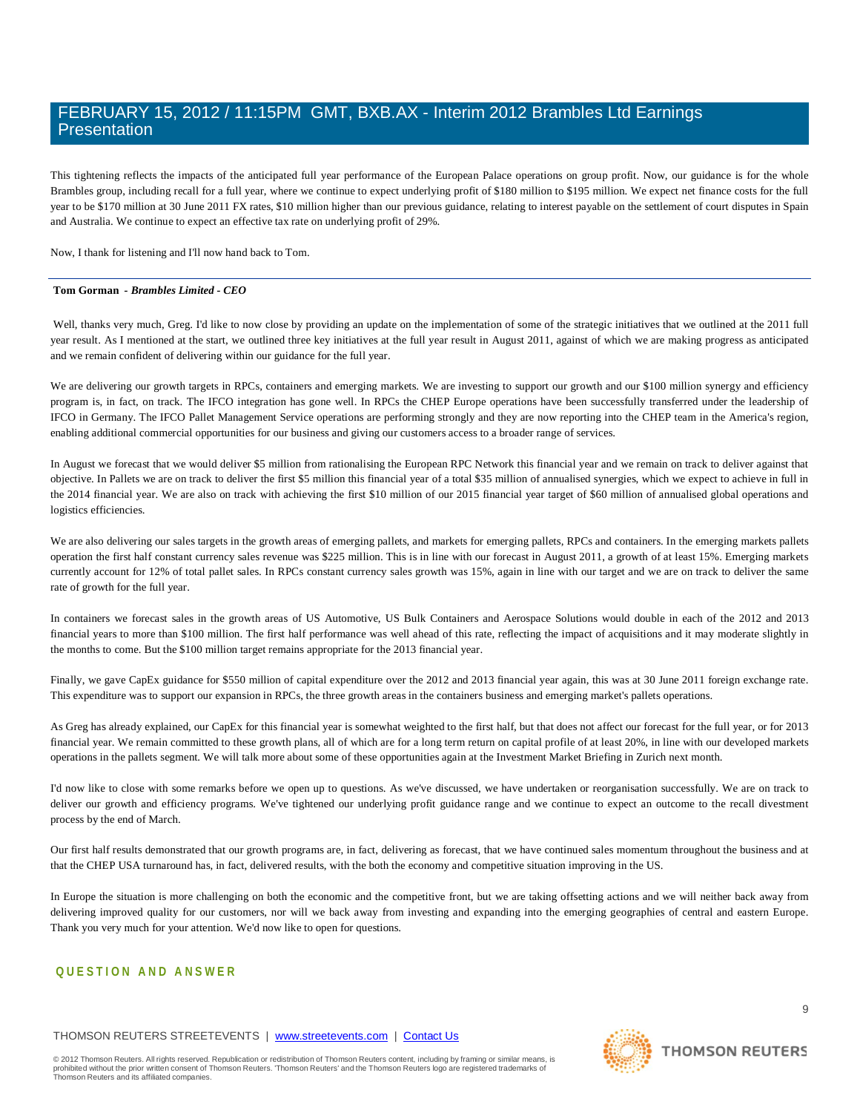This tightening reflects the impacts of the anticipated full year performance of the European Palace operations on group profit. Now, our guidance is for the whole Brambles group, including recall for a full year, where we continue to expect underlying profit of \$180 million to \$195 million. We expect net finance costs for the full year to be \$170 million at 30 June 2011 FX rates, \$10 million higher than our previous guidance, relating to interest payable on the settlement of court disputes in Spain and Australia. We continue to expect an effective tax rate on underlying profit of 29%.

Now, I thank for listening and I'll now hand back to Tom.

#### **Tom Gorman** *- Brambles Limited - CEO*

Well, thanks very much, Greg. I'd like to now close by providing an update on the implementation of some of the strategic initiatives that we outlined at the 2011 full year result. As I mentioned at the start, we outlined three key initiatives at the full year result in August 2011, against of which we are making progress as anticipated and we remain confident of delivering within our guidance for the full year.

We are delivering our growth targets in RPCs, containers and emerging markets. We are investing to support our growth and our \$100 million synergy and efficiency program is, in fact, on track. The IFCO integration has gone well. In RPCs the CHEP Europe operations have been successfully transferred under the leadership of IFCO in Germany. The IFCO Pallet Management Service operations are performing strongly and they are now reporting into the CHEP team in the America's region, enabling additional commercial opportunities for our business and giving our customers access to a broader range of services.

In August we forecast that we would deliver \$5 million from rationalising the European RPC Network this financial year and we remain on track to deliver against that objective. In Pallets we are on track to deliver the first \$5 million this financial year of a total \$35 million of annualised synergies, which we expect to achieve in full in the 2014 financial year. We are also on track with achieving the first \$10 million of our 2015 financial year target of \$60 million of annualised global operations and logistics efficiencies.

We are also delivering our sales targets in the growth areas of emerging pallets, and markets for emerging pallets, RPCs and containers. In the emerging markets pallets operation the first half constant currency sales revenue was \$225 million. This is in line with our forecast in August 2011, a growth of at least 15%. Emerging markets currently account for 12% of total pallet sales. In RPCs constant currency sales growth was 15%, again in line with our target and we are on track to deliver the same rate of growth for the full year.

In containers we forecast sales in the growth areas of US Automotive, US Bulk Containers and Aerospace Solutions would double in each of the 2012 and 2013 financial years to more than \$100 million. The first half performance was well ahead of this rate, reflecting the impact of acquisitions and it may moderate slightly in the months to come. But the \$100 million target remains appropriate for the 2013 financial year.

Finally, we gave CapEx guidance for \$550 million of capital expenditure over the 2012 and 2013 financial year again, this was at 30 June 2011 foreign exchange rate. This expenditure was to support our expansion in RPCs, the three growth areas in the containers business and emerging market's pallets operations.

As Greg has already explained, our CapEx for this financial year is somewhat weighted to the first half, but that does not affect our forecast for the full year, or for 2013 financial year. We remain committed to these growth plans, all of which are for a long term return on capital profile of at least 20%, in line with our developed markets operations in the pallets segment. We will talk more about some of these opportunities again at the Investment Market Briefing in Zurich next month.

I'd now like to close with some remarks before we open up to questions. As we've discussed, we have undertaken or reorganisation successfully. We are on track to deliver our growth and efficiency programs. We've tightened our underlying profit guidance range and we continue to expect an outcome to the recall divestment process by the end of March.

Our first half results demonstrated that our growth programs are, in fact, delivering as forecast, that we have continued sales momentum throughout the business and at that the CHEP USA turnaround has, in fact, delivered results, with the both the economy and competitive situation improving in the US.

In Europe the situation is more challenging on both the economic and the competitive front, but we are taking offsetting actions and we will neither back away from delivering improved quality for our customers, nor will we back away from investing and expanding into the emerging geographies of central and eastern Europe. Thank you very much for your attention. We'd now like to open for questions.

### **QUESTI ON AND ANSWER**

### THOMSON REUTERS STREETEVENTS | [www.streetevents.com](http://www.streetevents.com/) | [Contact Us](http://www010.streetevents.com/contact.asp)

© 2012 Thomson Reuters. All rights reserved. Republication or redistribution of Thomson Reuters content, including by framing or similar means, is<br>prohibited without the prior written consent of Thomson Reuters. 'Thomson R Thomson Reuters and its affiliated companies.

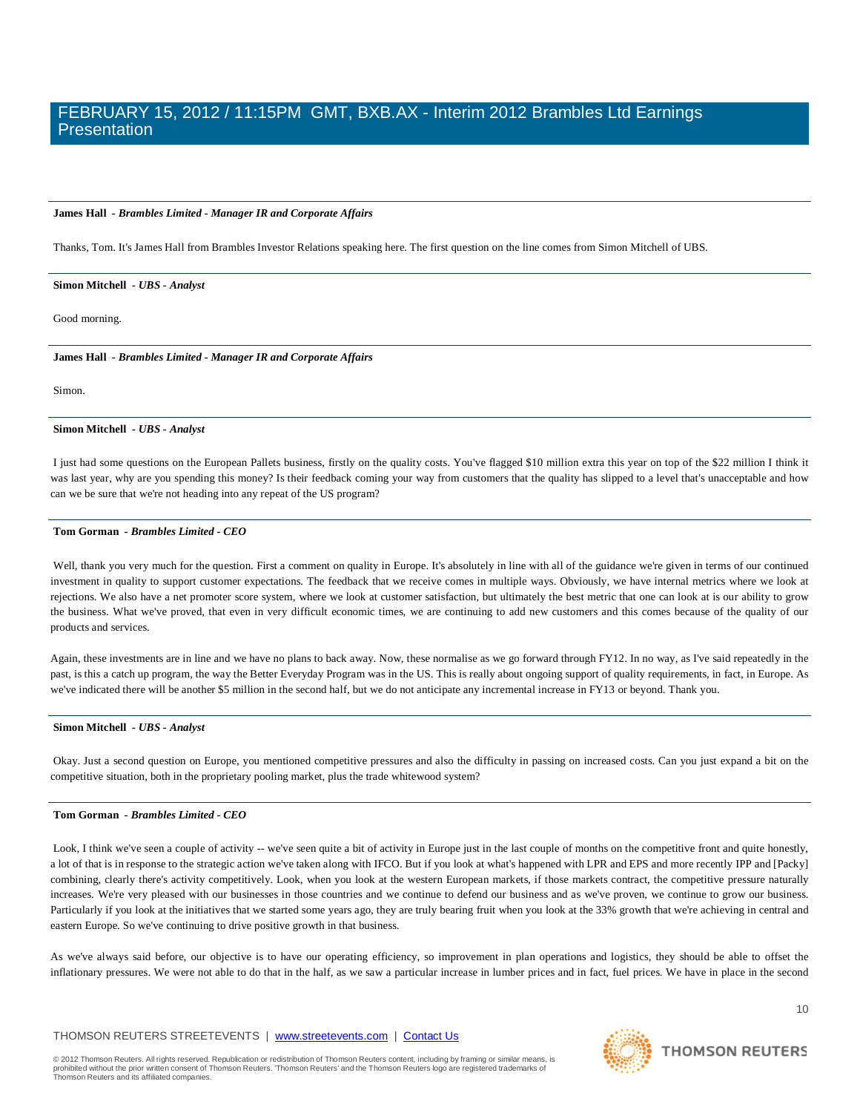#### **James Hall** *- Brambles Limited - Manager IR and Corporate Affairs*

Thanks, Tom. It's James Hall from Brambles Investor Relations speaking here. The first question on the line comes from Simon Mitchell of UBS.

#### **Simon Mitchell** *- UBS - Analyst*

Good morning.

**James Hall** *- Brambles Limited - Manager IR and Corporate Affairs* 

Simon.

#### **Simon Mitchell** *- UBS - Analyst*

I just had some questions on the European Pallets business, firstly on the quality costs. You've flagged \$10 million extra this year on top of the \$22 million I think it was last year, why are you spending this money? Is their feedback coming your way from customers that the quality has slipped to a level that's unacceptable and how can we be sure that we're not heading into any repeat of the US program?

#### **Tom Gorman** *- Brambles Limited - CEO*

Well, thank you very much for the question. First a comment on quality in Europe. It's absolutely in line with all of the guidance we're given in terms of our continued investment in quality to support customer expectations. The feedback that we receive comes in multiple ways. Obviously, we have internal metrics where we look at rejections. We also have a net promoter score system, where we look at customer satisfaction, but ultimately the best metric that one can look at is our ability to grow the business. What we've proved, that even in very difficult economic times, we are continuing to add new customers and this comes because of the quality of our products and services.

Again, these investments are in line and we have no plans to back away. Now, these normalise as we go forward through FY12. In no way, as I've said repeatedly in the past, is this a catch up program, the way the Better Everyday Program was in the US. This is really about ongoing support of quality requirements, in fact, in Europe. As we've indicated there will be another \$5 million in the second half, but we do not anticipate any incremental increase in FY13 or beyond. Thank you.

#### **Simon Mitchell** *- UBS - Analyst*

Okay. Just a second question on Europe, you mentioned competitive pressures and also the difficulty in passing on increased costs. Can you just expand a bit on the competitive situation, both in the proprietary pooling market, plus the trade whitewood system?

#### **Tom Gorman** *- Brambles Limited - CEO*

Look, I think we've seen a couple of activity -- we've seen quite a bit of activity in Europe just in the last couple of months on the competitive front and quite honestly, a lot of that is in response to the strategic action we've taken along with IFCO. But if you look at what's happened with LPR and EPS and more recently IPP and [Packy] combining, clearly there's activity competitively. Look, when you look at the western European markets, if those markets contract, the competitive pressure naturally increases. We're very pleased with our businesses in those countries and we continue to defend our business and as we've proven, we continue to grow our business. Particularly if you look at the initiatives that we started some years ago, they are truly bearing fruit when you look at the 33% growth that we're achieving in central and eastern Europe. So we've continuing to drive positive growth in that business.

As we've always said before, our objective is to have our operating efficiency, so improvement in plan operations and logistics, they should be able to offset the inflationary pressures. We were not able to do that in the half, as we saw a particular increase in lumber prices and in fact, fuel prices. We have in place in the second

#### THOMSON REUTERS STREETEVENTS | [www.streetevents.com](http://www.streetevents.com/) | [Contact Us](http://www010.streetevents.com/contact.asp)

© 2012 Thomson Reuters. All rights reserved. Republication or redistribution of Thomson Reuters content, including by framing or similar means, is<br>prohibited without the prior written consent of Thomson Reuters. 'Thomson R Thomson Reuters and its affiliated companies.

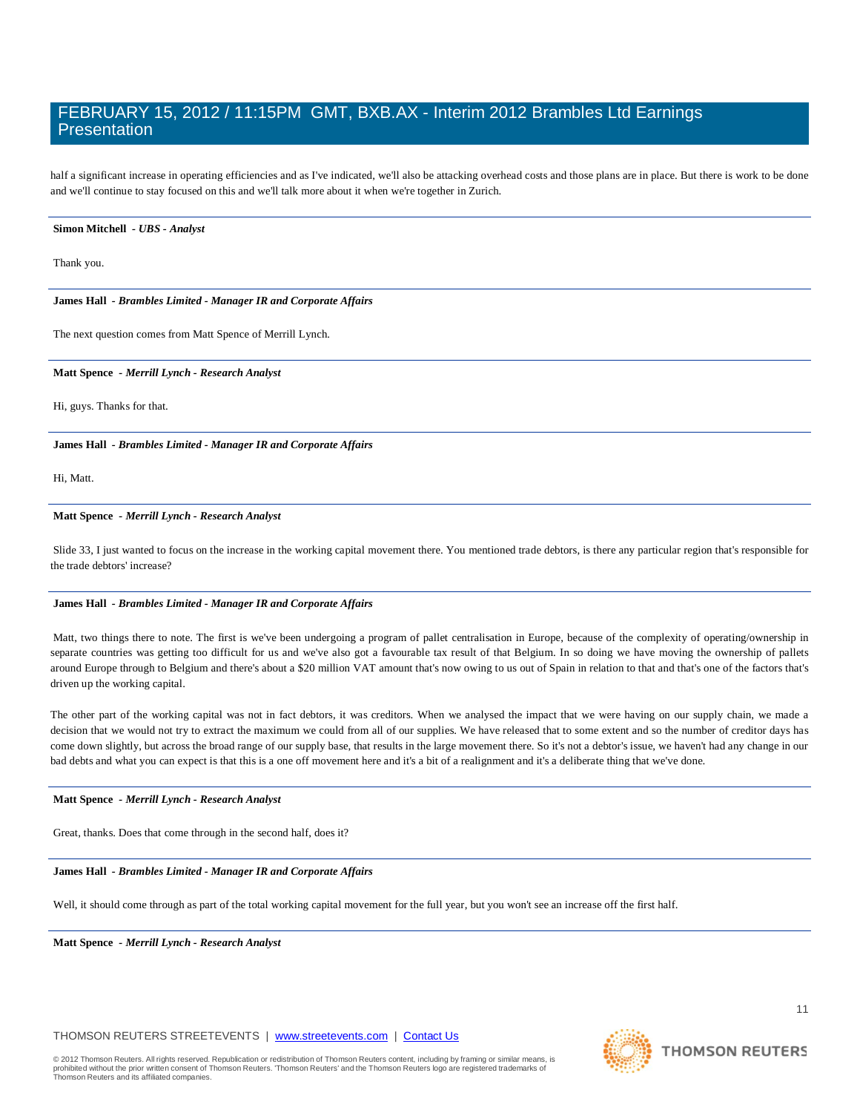half a significant increase in operating efficiencies and as I've indicated, we'll also be attacking overhead costs and those plans are in place. But there is work to be done and we'll continue to stay focused on this and we'll talk more about it when we're together in Zurich.

#### **Simon Mitchell** *- UBS - Analyst*

Thank you.

#### **James Hall** *- Brambles Limited - Manager IR and Corporate Affairs*

The next question comes from Matt Spence of Merrill Lynch.

#### **Matt Spence** *- Merrill Lynch - Research Analyst*

Hi, guys. Thanks for that.

**James Hall** *- Brambles Limited - Manager IR and Corporate Affairs* 

Hi, Matt.

### **Matt Spence** *- Merrill Lynch - Research Analyst*

Slide 33, I just wanted to focus on the increase in the working capital movement there. You mentioned trade debtors, is there any particular region that's responsible for the trade debtors' increase?

#### **James Hall** *- Brambles Limited - Manager IR and Corporate Affairs*

Matt, two things there to note. The first is we've been undergoing a program of pallet centralisation in Europe, because of the complexity of operating/ownership in separate countries was getting too difficult for us and we've also got a favourable tax result of that Belgium. In so doing we have moving the ownership of pallets around Europe through to Belgium and there's about a \$20 million VAT amount that's now owing to us out of Spain in relation to that and that's one of the factors that's driven up the working capital.

The other part of the working capital was not in fact debtors, it was creditors. When we analysed the impact that we were having on our supply chain, we made a decision that we would not try to extract the maximum we could from all of our supplies. We have released that to some extent and so the number of creditor days has come down slightly, but across the broad range of our supply base, that results in the large movement there. So it's not a debtor's issue, we haven't had any change in our bad debts and what you can expect is that this is a one off movement here and it's a bit of a realignment and it's a deliberate thing that we've done.

#### **Matt Spence** *- Merrill Lynch - Research Analyst*

Great, thanks. Does that come through in the second half, does it?

#### **James Hall** *- Brambles Limited - Manager IR and Corporate Affairs*

Well, it should come through as part of the total working capital movement for the full year, but you won't see an increase off the first half.

**Matt Spence** *- Merrill Lynch - Research Analyst* 



**THOMSON REUTERS**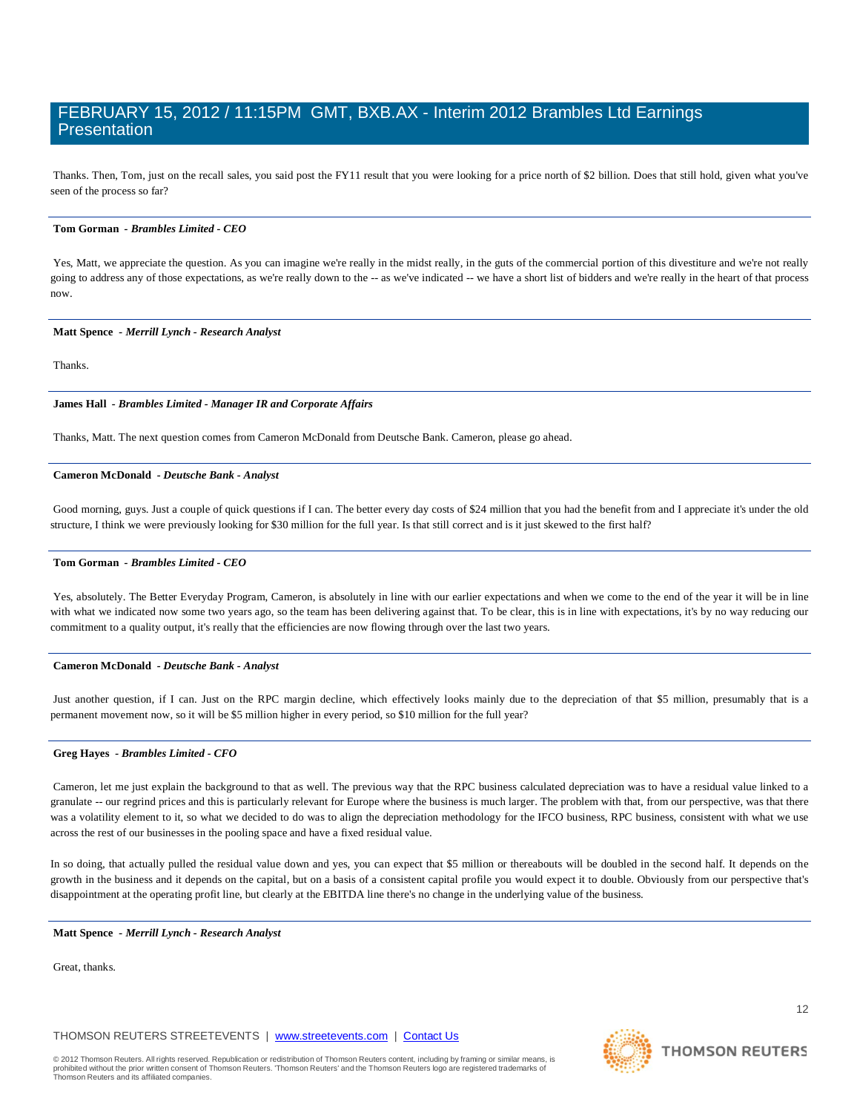Thanks. Then, Tom, just on the recall sales, you said post the FY11 result that you were looking for a price north of \$2 billion. Does that still hold, given what you've seen of the process so far?

#### **Tom Gorman** *- Brambles Limited - CEO*

Yes, Matt, we appreciate the question. As you can imagine we're really in the midst really, in the guts of the commercial portion of this divestiture and we're not really going to address any of those expectations, as we're really down to the -- as we've indicated -- we have a short list of bidders and we're really in the heart of that process now.

#### **Matt Spence** *- Merrill Lynch - Research Analyst*

Thanks.

#### **James Hall** *- Brambles Limited - Manager IR and Corporate Affairs*

Thanks, Matt. The next question comes from Cameron McDonald from Deutsche Bank. Cameron, please go ahead.

### **Cameron McDonald** *- Deutsche Bank - Analyst*

Good morning, guys. Just a couple of quick questions if I can. The better every day costs of \$24 million that you had the benefit from and I appreciate it's under the old structure, I think we were previously looking for \$30 million for the full year. Is that still correct and is it just skewed to the first half?

#### **Tom Gorman** *- Brambles Limited - CEO*

Yes, absolutely. The Better Everyday Program, Cameron, is absolutely in line with our earlier expectations and when we come to the end of the year it will be in line with what we indicated now some two years ago, so the team has been delivering against that. To be clear, this is in line with expectations, it's by no way reducing our commitment to a quality output, it's really that the efficiencies are now flowing through over the last two years.

#### **Cameron McDonald** *- Deutsche Bank - Analyst*

Just another question, if I can. Just on the RPC margin decline, which effectively looks mainly due to the depreciation of that \$5 million, presumably that is a permanent movement now, so it will be \$5 million higher in every period, so \$10 million for the full year?

### **Greg Hayes** *- Brambles Limited - CFO*

Cameron, let me just explain the background to that as well. The previous way that the RPC business calculated depreciation was to have a residual value linked to a granulate -- our regrind prices and this is particularly relevant for Europe where the business is much larger. The problem with that, from our perspective, was that there was a volatility element to it, so what we decided to do was to align the depreciation methodology for the IFCO business, RPC business, consistent with what we use across the rest of our businesses in the pooling space and have a fixed residual value.

In so doing, that actually pulled the residual value down and yes, you can expect that \$5 million or thereabouts will be doubled in the second half. It depends on the growth in the business and it depends on the capital, but on a basis of a consistent capital profile you would expect it to double. Obviously from our perspective that's disappointment at the operating profit line, but clearly at the EBITDA line there's no change in the underlying value of the business.

#### **Matt Spence** *- Merrill Lynch - Research Analyst*

Great, thanks.

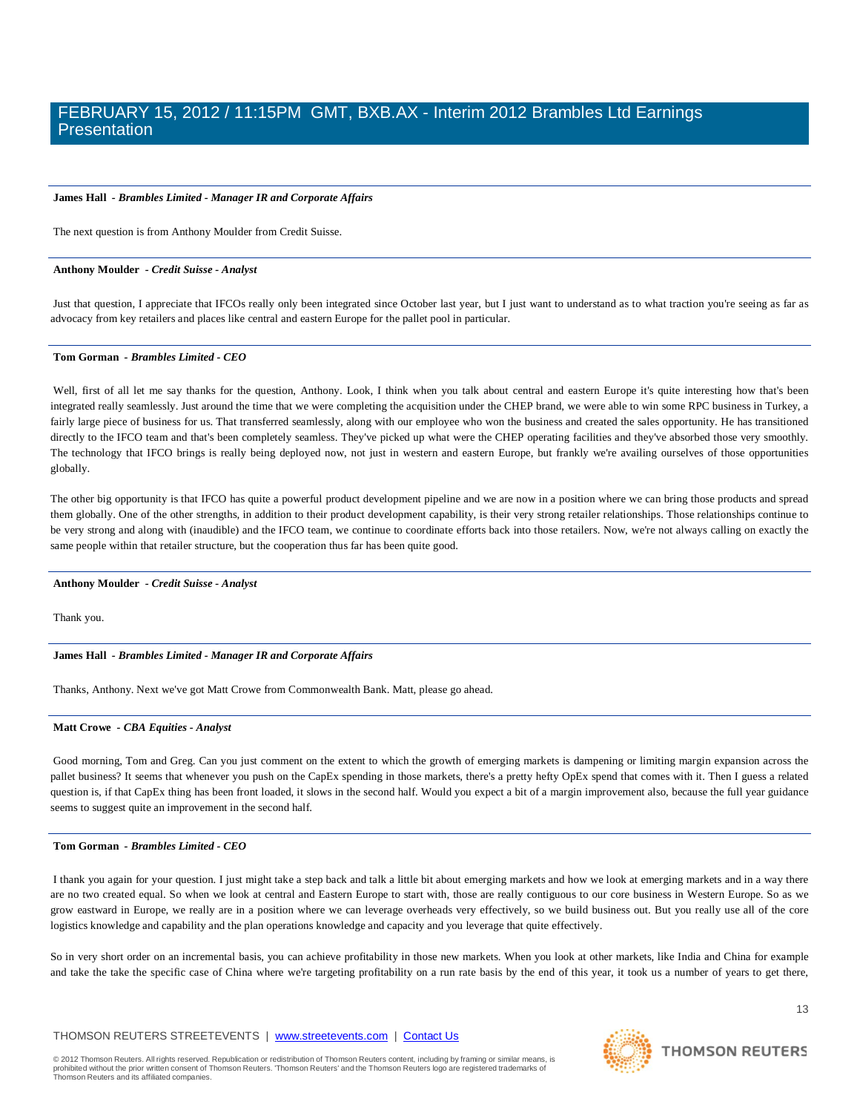#### **James Hall** *- Brambles Limited - Manager IR and Corporate Affairs*

The next question is from Anthony Moulder from Credit Suisse.

#### **Anthony Moulder** *- Credit Suisse - Analyst*

Just that question, I appreciate that IFCOs really only been integrated since October last year, but I just want to understand as to what traction you're seeing as far as advocacy from key retailers and places like central and eastern Europe for the pallet pool in particular.

#### **Tom Gorman** *- Brambles Limited - CEO*

Well, first of all let me say thanks for the question, Anthony. Look, I think when you talk about central and eastern Europe it's quite interesting how that's been integrated really seamlessly. Just around the time that we were completing the acquisition under the CHEP brand, we were able to win some RPC business in Turkey, a fairly large piece of business for us. That transferred seamlessly, along with our employee who won the business and created the sales opportunity. He has transitioned directly to the IFCO team and that's been completely seamless. They've picked up what were the CHEP operating facilities and they've absorbed those very smoothly. The technology that IFCO brings is really being deployed now, not just in western and eastern Europe, but frankly we're availing ourselves of those opportunities globally.

The other big opportunity is that IFCO has quite a powerful product development pipeline and we are now in a position where we can bring those products and spread them globally. One of the other strengths, in addition to their product development capability, is their very strong retailer relationships. Those relationships continue to be very strong and along with (inaudible) and the IFCO team, we continue to coordinate efforts back into those retailers. Now, we're not always calling on exactly the same people within that retailer structure, but the cooperation thus far has been quite good.

#### **Anthony Moulder** *- Credit Suisse - Analyst*

Thank you.

#### **James Hall** *- Brambles Limited - Manager IR and Corporate Affairs*

Thanks, Anthony. Next we've got Matt Crowe from Commonwealth Bank. Matt, please go ahead.

#### **Matt Crowe** *- CBA Equities - Analyst*

Good morning, Tom and Greg. Can you just comment on the extent to which the growth of emerging markets is dampening or limiting margin expansion across the pallet business? It seems that whenever you push on the CapEx spending in those markets, there's a pretty hefty OpEx spend that comes with it. Then I guess a related question is, if that CapEx thing has been front loaded, it slows in the second half. Would you expect a bit of a margin improvement also, because the full year guidance seems to suggest quite an improvement in the second half.

#### **Tom Gorman** *- Brambles Limited - CEO*

I thank you again for your question. I just might take a step back and talk a little bit about emerging markets and how we look at emerging markets and in a way there are no two created equal. So when we look at central and Eastern Europe to start with, those are really contiguous to our core business in Western Europe. So as we grow eastward in Europe, we really are in a position where we can leverage overheads very effectively, so we build business out. But you really use all of the core logistics knowledge and capability and the plan operations knowledge and capacity and you leverage that quite effectively.

So in very short order on an incremental basis, you can achieve profitability in those new markets. When you look at other markets, like India and China for example and take the take the specific case of China where we're targeting profitability on a run rate basis by the end of this year, it took us a number of years to get there,

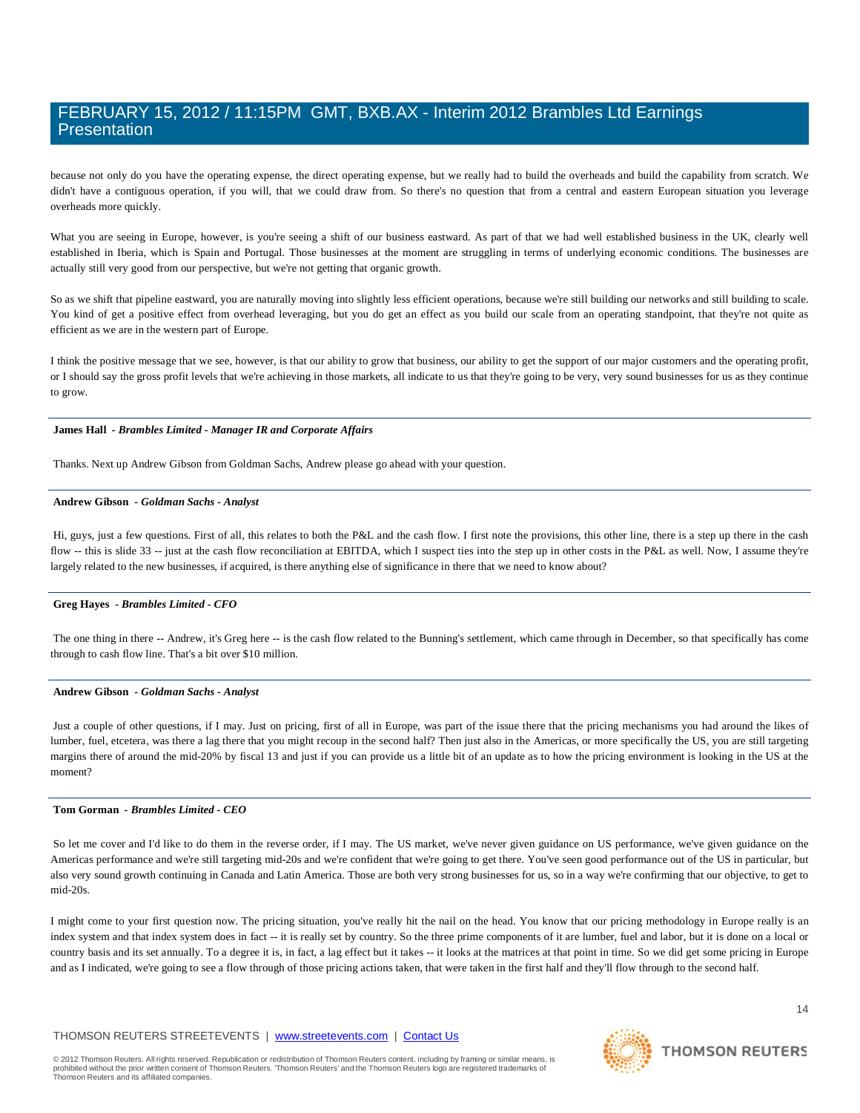because not only do you have the operating expense, the direct operating expense, but we really had to build the overheads and build the capability from scratch. We didn't have a contiguous operation, if you will, that we could draw from. So there's no question that from a central and eastern European situation you leverage overheads more quickly.

What you are seeing in Europe, however, is you're seeing a shift of our business eastward. As part of that we had well established business in the UK, clearly well established in Iberia, which is Spain and Portugal. Those businesses at the moment are struggling in terms of underlying economic conditions. The businesses are actually still very good from our perspective, but we're not getting that organic growth.

So as we shift that pipeline eastward, you are naturally moving into slightly less efficient operations, because we're still building our networks and still building to scale. You kind of get a positive effect from overhead leveraging, but you do get an effect as you build our scale from an operating standpoint, that they're not quite as efficient as we are in the western part of Europe.

I think the positive message that we see, however, is that our ability to grow that business, our ability to get the support of our major customers and the operating profit, or I should say the gross profit levels that we're achieving in those markets, all indicate to us that they're going to be very, very sound businesses for us as they continue to grow.

#### **James Hall** *- Brambles Limited - Manager IR and Corporate Affairs*

Thanks. Next up Andrew Gibson from Goldman Sachs, Andrew please go ahead with your question.

#### **Andrew Gibson** *- Goldman Sachs - Analyst*

Hi, guys, just a few questions. First of all, this relates to both the P&L and the cash flow. I first note the provisions, this other line, there is a step up there in the cash flow -- this is slide 33 -- just at the cash flow reconciliation at EBITDA, which I suspect ties into the step up in other costs in the P&L as well. Now, I assume they're largely related to the new businesses, if acquired, is there anything else of significance in there that we need to know about?

### **Greg Hayes** *- Brambles Limited - CFO*

The one thing in there -- Andrew, it's Greg here -- is the cash flow related to the Bunning's settlement, which came through in December, so that specifically has come through to cash flow line. That's a bit over \$10 million.

#### **Andrew Gibson** *- Goldman Sachs - Analyst*

Just a couple of other questions, if I may. Just on pricing, first of all in Europe, was part of the issue there that the pricing mechanisms you had around the likes of lumber, fuel, etcetera, was there a lag there that you might recoup in the second half? Then just also in the Americas, or more specifically the US, you are still targeting margins there of around the mid-20% by fiscal 13 and just if you can provide us a little bit of an update as to how the pricing environment is looking in the US at the moment?

#### **Tom Gorman** *- Brambles Limited - CEO*

So let me cover and I'd like to do them in the reverse order, if I may. The US market, we've never given guidance on US performance, we've given guidance on the Americas performance and we're still targeting mid-20s and we're confident that we're going to get there. You've seen good performance out of the US in particular, but also very sound growth continuing in Canada and Latin America. Those are both very strong businesses for us, so in a way we're confirming that our objective, to get to mid-20s.

I might come to your first question now. The pricing situation, you've really hit the nail on the head. You know that our pricing methodology in Europe really is an index system and that index system does in fact -- it is really set by country. So the three prime components of it are lumber, fuel and labor, but it is done on a local or country basis and its set annually. To a degree it is, in fact, a lag effect but it takes -- it looks at the matrices at that point in time. So we did get some pricing in Europe and as I indicated, we're going to see a flow through of those pricing actions taken, that were taken in the first half and they'll flow through to the second half.

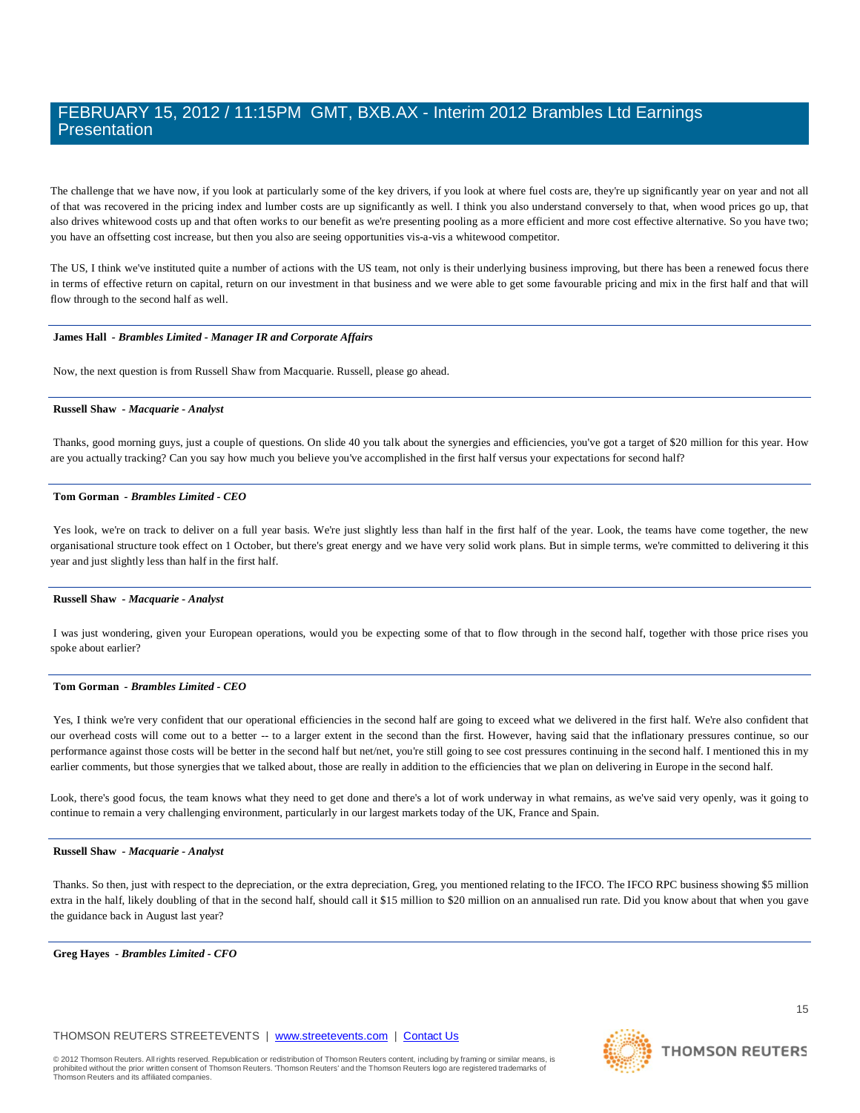The challenge that we have now, if you look at particularly some of the key drivers, if you look at where fuel costs are, they're up significantly year on year and not all of that was recovered in the pricing index and lumber costs are up significantly as well. I think you also understand conversely to that, when wood prices go up, that also drives whitewood costs up and that often works to our benefit as we're presenting pooling as a more efficient and more cost effective alternative. So you have two; you have an offsetting cost increase, but then you also are seeing opportunities vis-a-vis a whitewood competitor.

The US, I think we've instituted quite a number of actions with the US team, not only is their underlying business improving, but there has been a renewed focus there in terms of effective return on capital, return on our investment in that business and we were able to get some favourable pricing and mix in the first half and that will flow through to the second half as well.

#### **James Hall** *- Brambles Limited - Manager IR and Corporate Affairs*

Now, the next question is from Russell Shaw from Macquarie. Russell, please go ahead.

#### **Russell Shaw** *- Macquarie - Analyst*

Thanks, good morning guys, just a couple of questions. On slide 40 you talk about the synergies and efficiencies, you've got a target of \$20 million for this year. How are you actually tracking? Can you say how much you believe you've accomplished in the first half versus your expectations for second half?

#### **Tom Gorman** *- Brambles Limited - CEO*

Yes look, we're on track to deliver on a full year basis. We're just slightly less than half in the first half of the year. Look, the teams have come together, the new organisational structure took effect on 1 October, but there's great energy and we have very solid work plans. But in simple terms, we're committed to delivering it this year and just slightly less than half in the first half.

#### **Russell Shaw** *- Macquarie - Analyst*

I was just wondering, given your European operations, would you be expecting some of that to flow through in the second half, together with those price rises you spoke about earlier?

#### **Tom Gorman** *- Brambles Limited - CEO*

Yes, I think we're very confident that our operational efficiencies in the second half are going to exceed what we delivered in the first half. We're also confident that our overhead costs will come out to a better -- to a larger extent in the second than the first. However, having said that the inflationary pressures continue, so our performance against those costs will be better in the second half but net/net, you're still going to see cost pressures continuing in the second half. I mentioned this in my earlier comments, but those synergies that we talked about, those are really in addition to the efficiencies that we plan on delivering in Europe in the second half.

Look, there's good focus, the team knows what they need to get done and there's a lot of work underway in what remains, as we've said very openly, was it going to continue to remain a very challenging environment, particularly in our largest markets today of the UK, France and Spain.

#### **Russell Shaw** *- Macquarie - Analyst*

Thanks. So then, just with respect to the depreciation, or the extra depreciation, Greg, you mentioned relating to the IFCO. The IFCO RPC business showing \$5 million extra in the half, likely doubling of that in the second half, should call it \$15 million to \$20 million on an annualised run rate. Did you know about that when you gave the guidance back in August last year?

**Greg Hayes** *- Brambles Limited - CFO* 

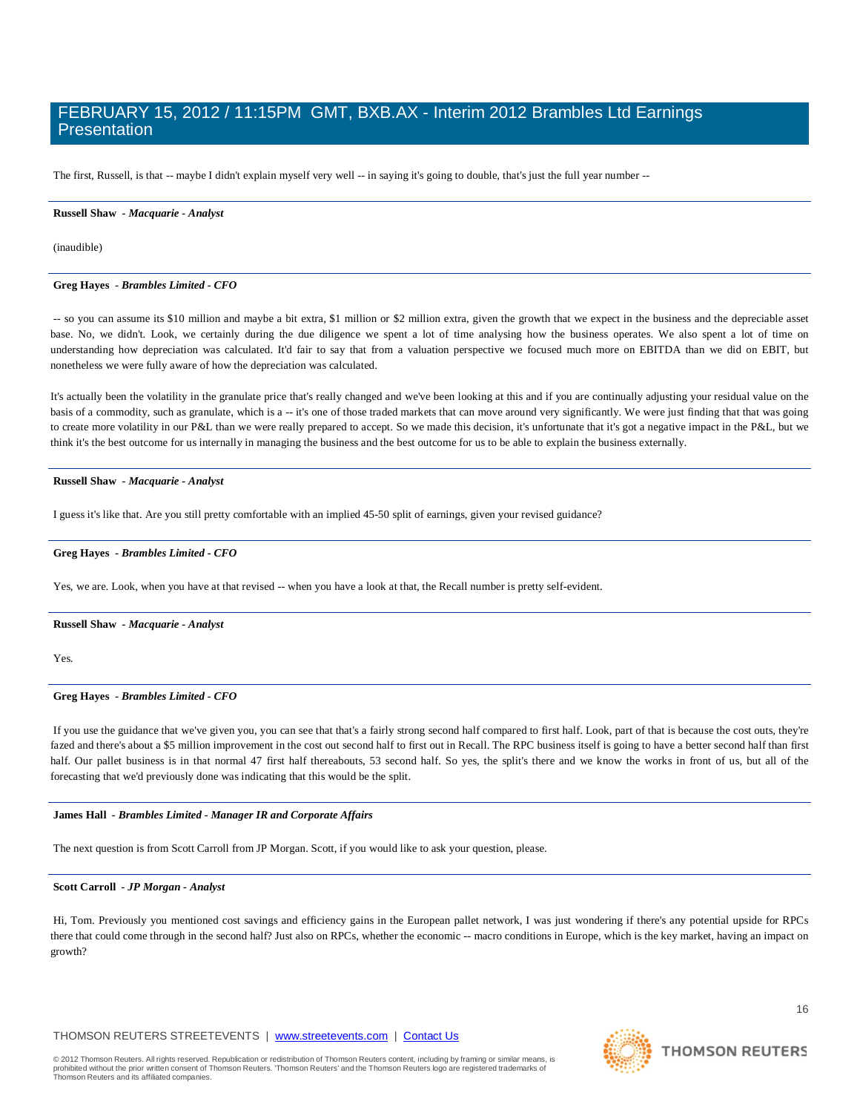The first, Russell, is that -- maybe I didn't explain myself very well -- in saying it's going to double, that's just the full year number --

#### **Russell Shaw** *- Macquarie - Analyst*

(inaudible)

#### **Greg Hayes** *- Brambles Limited - CFO*

-- so you can assume its \$10 million and maybe a bit extra, \$1 million or \$2 million extra, given the growth that we expect in the business and the depreciable asset base. No, we didn't. Look, we certainly during the due diligence we spent a lot of time analysing how the business operates. We also spent a lot of time on understanding how depreciation was calculated. It'd fair to say that from a valuation perspective we focused much more on EBITDA than we did on EBIT, but nonetheless we were fully aware of how the depreciation was calculated.

It's actually been the volatility in the granulate price that's really changed and we've been looking at this and if you are continually adjusting your residual value on the basis of a commodity, such as granulate, which is a -- it's one of those traded markets that can move around very significantly. We were just finding that that was going to create more volatility in our P&L than we were really prepared to accept. So we made this decision, it's unfortunate that it's got a negative impact in the P&L, but we think it's the best outcome for us internally in managing the business and the best outcome for us to be able to explain the business externally.

#### **Russell Shaw** *- Macquarie - Analyst*

I guess it's like that. Are you still pretty comfortable with an implied 45-50 split of earnings, given your revised guidance?

#### **Greg Hayes** *- Brambles Limited - CFO*

Yes, we are. Look, when you have at that revised -- when you have a look at that, the Recall number is pretty self-evident.

#### **Russell Shaw** *- Macquarie - Analyst*

Yes.

#### **Greg Hayes** *- Brambles Limited - CFO*

If you use the guidance that we've given you, you can see that that's a fairly strong second half compared to first half. Look, part of that is because the cost outs, they're fazed and there's about a \$5 million improvement in the cost out second half to first out in Recall. The RPC business itself is going to have a better second half than first half. Our pallet business is in that normal 47 first half thereabouts, 53 second half. So yes, the split's there and we know the works in front of us, but all of the forecasting that we'd previously done was indicating that this would be the split.

#### **James Hall** *- Brambles Limited - Manager IR and Corporate Affairs*

The next question is from Scott Carroll from JP Morgan. Scott, if you would like to ask your question, please.

#### **Scott Carroll** *- JP Morgan - Analyst*

Hi, Tom. Previously you mentioned cost savings and efficiency gains in the European pallet network, I was just wondering if there's any potential upside for RPCs there that could come through in the second half? Just also on RPCs, whether the economic -- macro conditions in Europe, which is the key market, having an impact on growth?

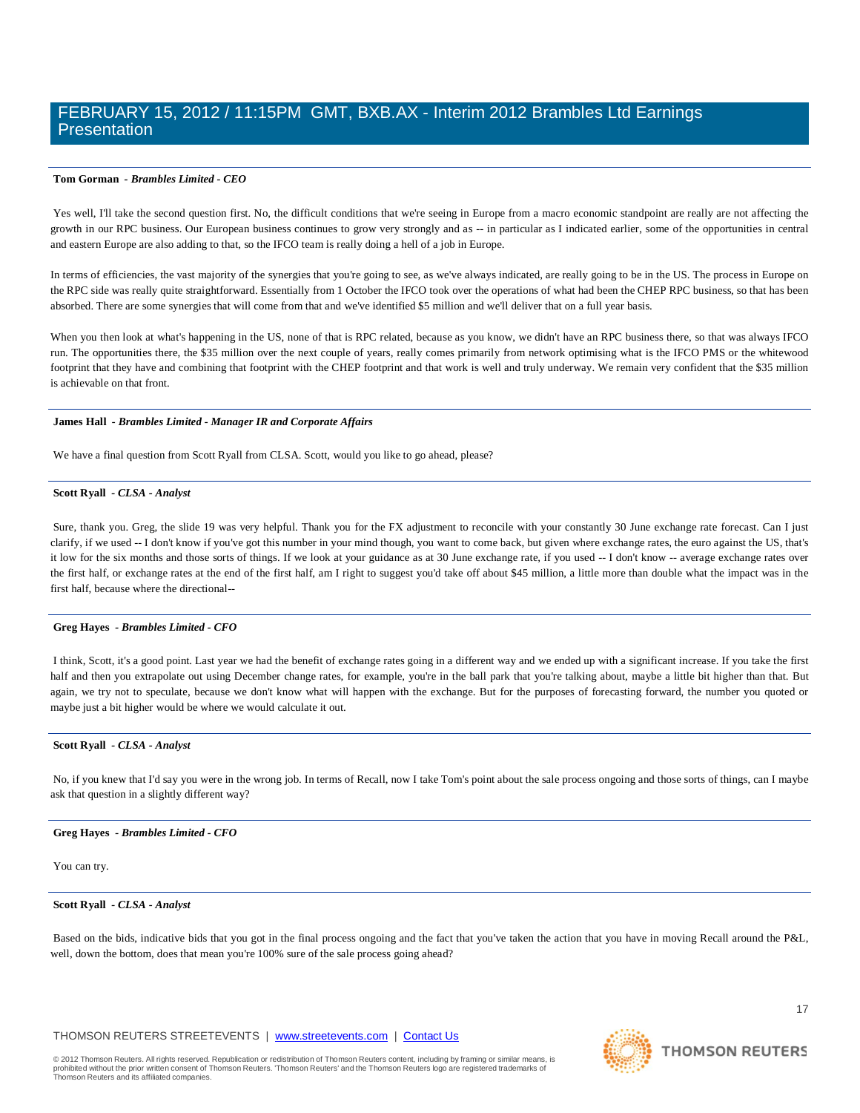#### **Tom Gorman** *- Brambles Limited - CEO*

Yes well, I'll take the second question first. No, the difficult conditions that we're seeing in Europe from a macro economic standpoint are really are not affecting the growth in our RPC business. Our European business continues to grow very strongly and as -- in particular as I indicated earlier, some of the opportunities in central and eastern Europe are also adding to that, so the IFCO team is really doing a hell of a job in Europe.

In terms of efficiencies, the vast majority of the synergies that you're going to see, as we've always indicated, are really going to be in the US. The process in Europe on the RPC side was really quite straightforward. Essentially from 1 October the IFCO took over the operations of what had been the CHEP RPC business, so that has been absorbed. There are some synergies that will come from that and we've identified \$5 million and we'll deliver that on a full year basis.

When you then look at what's happening in the US, none of that is RPC related, because as you know, we didn't have an RPC business there, so that was always IFCO run. The opportunities there, the \$35 million over the next couple of years, really comes primarily from network optimising what is the IFCO PMS or the whitewood footprint that they have and combining that footprint with the CHEP footprint and that work is well and truly underway. We remain very confident that the \$35 million is achievable on that front.

#### **James Hall** *- Brambles Limited - Manager IR and Corporate Affairs*

We have a final question from Scott Ryall from CLSA. Scott, would you like to go ahead, please?

#### **Scott Ryall** *- CLSA - Analyst*

Sure, thank you. Greg, the slide 19 was very helpful. Thank you for the FX adjustment to reconcile with your constantly 30 June exchange rate forecast. Can I just clarify, if we used -- I don't know if you've got this number in your mind though, you want to come back, but given where exchange rates, the euro against the US, that's it low for the six months and those sorts of things. If we look at your guidance as at 30 June exchange rate, if you used -- I don't know -- average exchange rates over the first half, or exchange rates at the end of the first half, am I right to suggest you'd take off about \$45 million, a little more than double what the impact was in the first half, because where the directional--

#### **Greg Hayes** *- Brambles Limited - CFO*

I think, Scott, it's a good point. Last year we had the benefit of exchange rates going in a different way and we ended up with a significant increase. If you take the first half and then you extrapolate out using December change rates, for example, you're in the ball park that you're talking about, maybe a little bit higher than that. But again, we try not to speculate, because we don't know what will happen with the exchange. But for the purposes of forecasting forward, the number you quoted or maybe just a bit higher would be where we would calculate it out.

#### **Scott Ryall** *- CLSA - Analyst*

No, if you knew that I'd say you were in the wrong job. In terms of Recall, now I take Tom's point about the sale process ongoing and those sorts of things, can I maybe ask that question in a slightly different way?

#### **Greg Hayes** *- Brambles Limited - CFO*

You can try.

#### **Scott Ryall** *- CLSA - Analyst*

Based on the bids, indicative bids that you got in the final process ongoing and the fact that you've taken the action that you have in moving Recall around the P&L, well, down the bottom, does that mean you're 100% sure of the sale process going ahead?